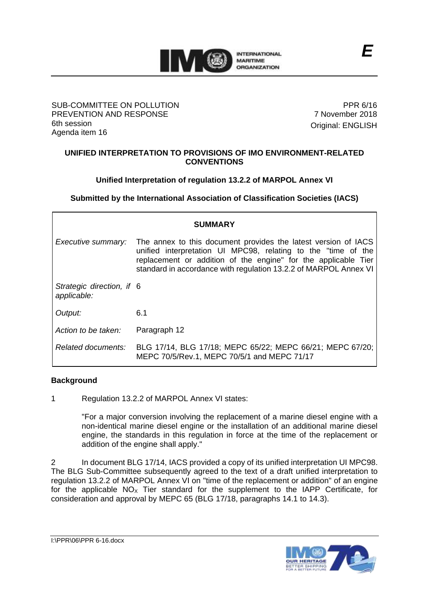

#### SUB-COMMITTEE ON POLLUTION PREVENTION AND RESPONSE 6th session Agenda item 16

PPR 6/16 7 November 2018 Original: ENGLISH

## **UNIFIED INTERPRETATION TO PROVISIONS OF IMO ENVIRONMENT-RELATED CONVENTIONS**

# **Unified Interpretation of regulation 13.2.2 of MARPOL Annex VI**

**Submitted by the International Association of Classification Societies (IACS)**

| <b>SUMMARY</b>                           |                                                                                                                                                                                                                                                                       |
|------------------------------------------|-----------------------------------------------------------------------------------------------------------------------------------------------------------------------------------------------------------------------------------------------------------------------|
| Executive summary:                       | The annex to this document provides the latest version of IACS<br>unified interpretation UI MPC98, relating to the "time of the<br>replacement or addition of the engine" for the applicable Tier<br>standard in accordance with regulation 13.2.2 of MARPOL Annex VI |
| Strategic direction, if 6<br>applicable: |                                                                                                                                                                                                                                                                       |
| Output:                                  | 6.1                                                                                                                                                                                                                                                                   |
| Action to be taken:                      | Paragraph 12                                                                                                                                                                                                                                                          |
| Related documents:                       | BLG 17/14, BLG 17/18; MEPC 65/22; MEPC 66/21; MEPC 67/20;<br>MEPC 70/5/Rev.1, MEPC 70/5/1 and MEPC 71/17                                                                                                                                                              |

## **Background**

1 Regulation 13.2.2 of MARPOL Annex VI states:

"For a major conversion involving the replacement of a marine diesel engine with a non-identical marine diesel engine or the installation of an additional marine diesel engine, the standards in this regulation in force at the time of the replacement or addition of the engine shall apply."

2 In document BLG 17/14, IACS provided a copy of its unified interpretation UI MPC98. The BLG Sub-Committee subsequently agreed to the text of a draft unified interpretation to regulation 13.2.2 of MARPOL Annex VI on "time of the replacement or addition" of an engine for the applicable  $NO<sub>x</sub>$  Tier standard for the supplement to the IAPP Certificate, for consideration and approval by MEPC 65 (BLG 17/18, paragraphs 14.1 to 14.3).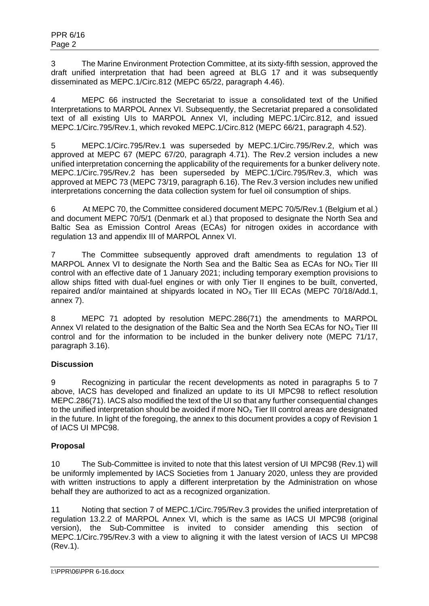3 The Marine Environment Protection Committee, at its sixty-fifth session, approved the draft unified interpretation that had been agreed at BLG 17 and it was subsequently disseminated as MEPC.1/Circ.812 (MEPC 65/22, paragraph 4.46).

4 MEPC 66 instructed the Secretariat to issue a consolidated text of the Unified Interpretations to MARPOL Annex VI. Subsequently, the Secretariat prepared a consolidated text of all existing UIs to MARPOL Annex VI, including MEPC.1/Circ.812, and issued MEPC.1/Circ.795/Rev.1, which revoked MEPC.1/Circ.812 (MEPC 66/21, paragraph 4.52).

5 MEPC.1/Circ.795/Rev.1 was superseded by MEPC.1/Circ.795/Rev.2, which was approved at MEPC 67 (MEPC 67/20, paragraph 4.71). The Rev.2 version includes a new unified interpretation concerning the applicability of the requirements for a bunker delivery note. MEPC.1/Circ.795/Rev.2 has been superseded by MEPC.1/Circ.795/Rev.3, which was approved at MEPC 73 (MEPC 73/19, paragraph 6.16). The Rev.3 version includes new unified interpretations concerning the data collection system for fuel oil consumption of ships.

6 At MEPC 70, the Committee considered document MEPC 70/5/Rev.1 (Belgium et al.) and document MEPC 70/5/1 (Denmark et al.) that proposed to designate the North Sea and Baltic Sea as Emission Control Areas (ECAs) for nitrogen oxides in accordance with regulation 13 and appendix III of MARPOL Annex VI.

7 The Committee subsequently approved draft amendments to regulation 13 of MARPOL Annex VI to designate the North Sea and the Baltic Sea as ECAs for  $NO<sub>x</sub>$  Tier III control with an effective date of 1 January 2021; including temporary exemption provisions to allow ships fitted with dual-fuel engines or with only Tier II engines to be built, converted, repaired and/or maintained at shipyards located in  $NO<sub>X</sub>$  Tier III ECAs (MEPC 70/18/Add.1, annex 7).

8 MEPC 71 adopted by resolution MEPC.286(71) the amendments to MARPOL Annex VI related to the designation of the Baltic Sea and the North Sea ECAs for  $NO<sub>x</sub>$  Tier III control and for the information to be included in the bunker delivery note (MEPC 71/17, paragraph 3.16).

# **Discussion**

9 Recognizing in particular the recent developments as noted in paragraphs 5 to 7 above, IACS has developed and finalized an update to its UI MPC98 to reflect resolution MEPC.286(71). IACS also modified the text of the UI so that any further consequential changes to the unified interpretation should be avoided if more  $NO<sub>x</sub>$  Tier III control areas are designated in the future. In light of the foregoing, the annex to this document provides a copy of Revision 1 of IACS UI MPC98.

# **Proposal**

10 The Sub-Committee is invited to note that this latest version of UI MPC98 (Rev.1) will be uniformly implemented by IACS Societies from 1 January 2020, unless they are provided with written instructions to apply a different interpretation by the Administration on whose behalf they are authorized to act as a recognized organization.

11 Noting that section 7 of MEPC.1/Circ.795/Rev.3 provides the unified interpretation of regulation 13.2.2 of MARPOL Annex VI, which is the same as IACS UI MPC98 (original version), the Sub-Committee is invited to consider amending this section of MEPC.1/Circ.795/Rev.3 with a view to aligning it with the latest version of IACS UI MPC98 (Rev.1).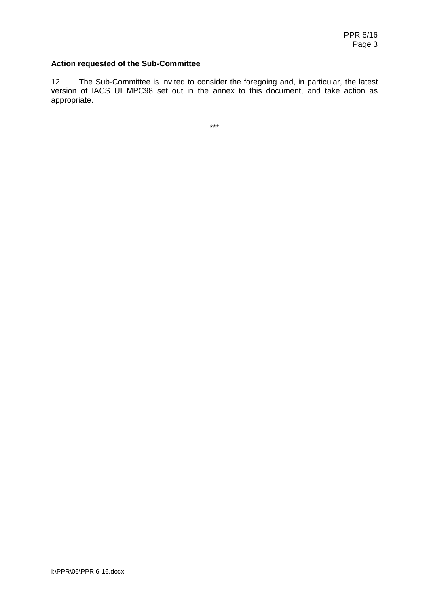#### **Action requested of the Sub-Committee**

12 The Sub-Committee is invited to consider the foregoing and, in particular, the latest version of IACS UI MPC98 set out in the annex to this document, and take action as appropriate.

\*\*\*